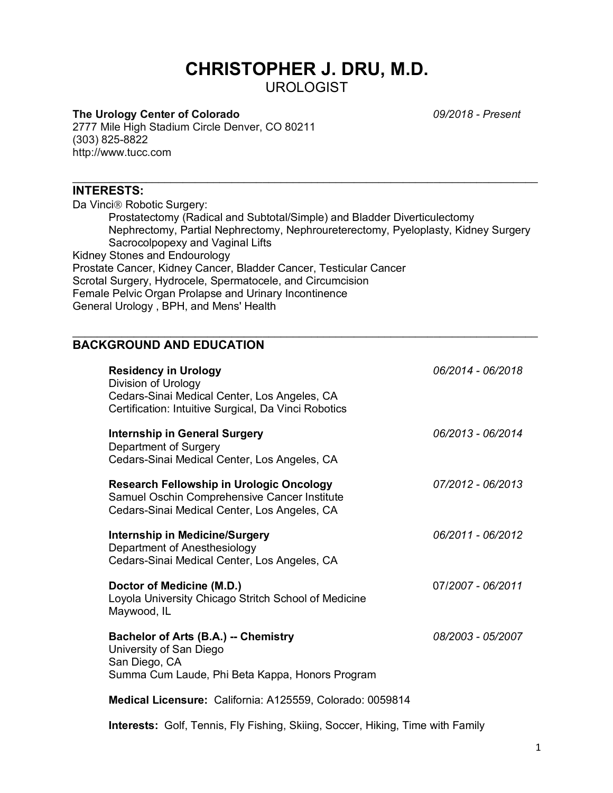# **CHRISTOPHER J. DRU, M.D.** UROLOGIST

## **The Urology Center of Colorado** *09/2018 - Present*

2777 Mile High Stadium Circle Denver, CO 80211 (303) 825-8822 http://www.tucc.com

#### **INTERESTS:**

Da Vinci® Robotic Surgery: Prostatectomy (Radical and Subtotal/Simple) and Bladder Diverticulectomy Nephrectomy, Partial Nephrectomy, Nephroureterectomy, Pyeloplasty, Kidney Surgery Sacrocolpopexy and Vaginal Lifts Kidney Stones and Endourology Prostate Cancer, Kidney Cancer, Bladder Cancer, Testicular Cancer Scrotal Surgery, Hydrocele, Spermatocele, and Circumcision Female Pelvic Organ Prolapse and Urinary Incontinence General Urology , BPH, and Mens' Health

 $\_$ 

# **BACKGROUND AND EDUCATION**

| <b>Residency in Urology</b><br>Division of Urology<br>Cedars-Sinai Medical Center, Los Angeles, CA<br>Certification: Intuitive Surgical, Da Vinci Robotics | 06/2014 - 06/2018 |
|------------------------------------------------------------------------------------------------------------------------------------------------------------|-------------------|
| <b>Internship in General Surgery</b><br>Department of Surgery<br>Cedars-Sinai Medical Center, Los Angeles, CA                                              | 06/2013 - 06/2014 |
| <b>Research Fellowship in Urologic Oncology</b><br>Samuel Oschin Comprehensive Cancer Institute<br>Cedars-Sinai Medical Center, Los Angeles, CA            | 07/2012 - 06/2013 |
| <b>Internship in Medicine/Surgery</b><br>Department of Anesthesiology<br>Cedars-Sinai Medical Center, Los Angeles, CA                                      | 06/2011 - 06/2012 |
| Doctor of Medicine (M.D.)<br>Loyola University Chicago Stritch School of Medicine<br>Maywood, IL                                                           | 07/2007 - 06/2011 |
| Bachelor of Arts (B.A.) -- Chemistry<br>University of San Diego<br>San Diego, CA<br>Summa Cum Laude, Phi Beta Kappa, Honors Program                        | 08/2003 - 05/2007 |
| Medical Licensure: California: A125559, Colorado: 0059814                                                                                                  |                   |

**Interests:** Golf, Tennis, Fly Fishing, Skiing, Soccer, Hiking, Time with Family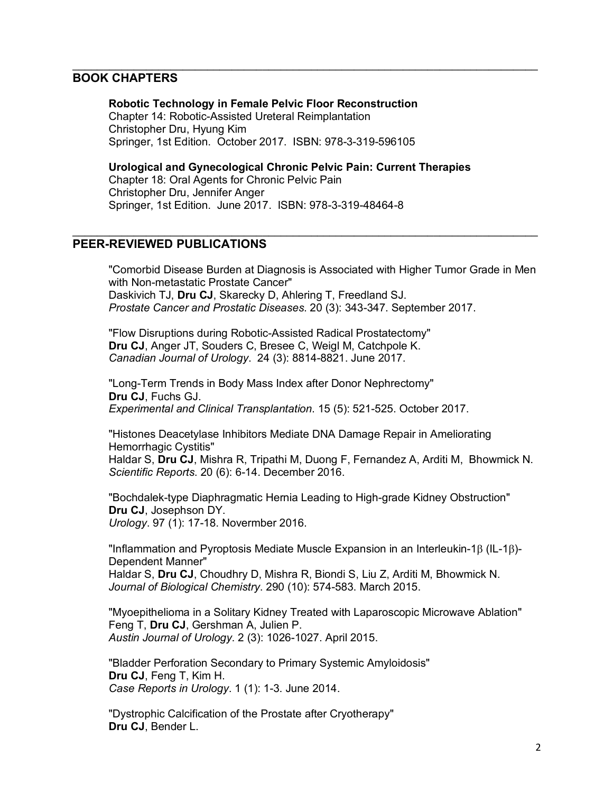## **BOOK CHAPTERS**

**Robotic Technology in Female Pelvic Floor Reconstruction** Chapter 14: Robotic-Assisted Ureteral Reimplantation Christopher Dru, Hyung Kim Springer, 1st Edition. October 2017. ISBN: 978-3-319-596105

**Urological and Gynecological Chronic Pelvic Pain: Current Therapies**

 $\_$ 

 $\_$ 

Chapter 18: Oral Agents for Chronic Pelvic Pain Christopher Dru, Jennifer Anger Springer, 1st Edition. June 2017. ISBN: 978-3-319-48464-8

## **PEER-REVIEWED PUBLICATIONS**

"Comorbid Disease Burden at Diagnosis is Associated with Higher Tumor Grade in Men with Non-metastatic Prostate Cancer" Daskivich TJ, **Dru CJ**, Skarecky D, Ahlering T, Freedland SJ. *Prostate Cancer and Prostatic Diseases*. 20 (3): 343-347. September 2017.

"Flow Disruptions during Robotic-Assisted Radical Prostatectomy" **Dru CJ**, Anger JT, Souders C, Bresee C, Weigl M, Catchpole K. *Canadian Journal of Urology*. 24 (3): 8814-8821. June 2017.

"Long-Term Trends in Body Mass Index after Donor Nephrectomy" **Dru CJ**, Fuchs GJ. *Experimental and Clinical Transplantation*. 15 (5): 521-525. October 2017.

"Histones Deacetylase Inhibitors Mediate DNA Damage Repair in Ameliorating Hemorrhagic Cystitis"

Haldar S, **Dru CJ**, Mishra R, Tripathi M, Duong F, Fernandez A, Arditi M, Bhowmick N. *Scientific Reports*. 20 (6): 6-14. December 2016.

"Bochdalek-type Diaphragmatic Hernia Leading to High-grade Kidney Obstruction" **Dru CJ**, Josephson DY. *Urology*. 97 (1): 17-18. Novermber 2016.

"Inflammation and Pyroptosis Mediate Muscle Expansion in an Interleukin-1 $\beta$  (IL-1 $\beta$ )-Dependent Manner"

Haldar S, **Dru CJ**, Choudhry D, Mishra R, Biondi S, Liu Z, Arditi M, Bhowmick N. *Journal of Biological Chemistry*. 290 (10): 574-583. March 2015.

"Myoepithelioma in a Solitary Kidney Treated with Laparoscopic Microwave Ablation" Feng T, **Dru CJ**, Gershman A, Julien P. *Austin Journal of Urology*. 2 (3): 1026-1027. April 2015.

"Bladder Perforation Secondary to Primary Systemic Amyloidosis" **Dru CJ**, Feng T, Kim H. *Case Reports in Urology*. 1 (1): 1-3. June 2014.

"Dystrophic Calcification of the Prostate after Cryotherapy" **Dru CJ**, Bender L.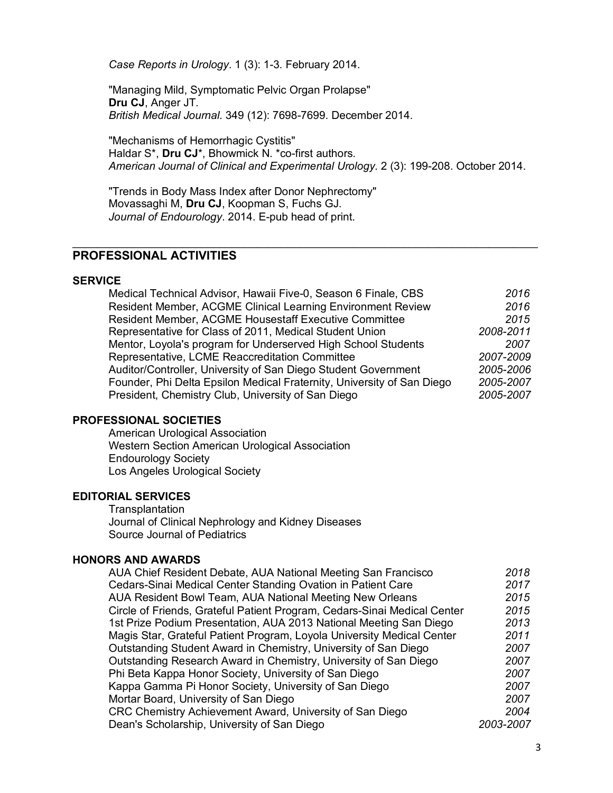*Case Reports in Urology*. 1 (3): 1-3. February 2014.

"Managing Mild, Symptomatic Pelvic Organ Prolapse" **Dru CJ**, Anger JT. *British Medical Journal.* 349 (12): 7698-7699. December 2014.

"Mechanisms of Hemorrhagic Cystitis" Haldar S\*, **Dru CJ**\*, Bhowmick N. \*co-first authors. *American Journal of Clinical and Experimental Urology*. 2 (3): 199-208. October 2014.

"Trends in Body Mass Index after Donor Nephrectomy" Movassaghi M, **Dru CJ**, Koopman S, Fuchs GJ. *Journal of Endourology*. 2014. E-pub head of print.

## **PROFESSIONAL ACTIVITIES**

#### **SERVICE**

| Medical Technical Advisor, Hawaii Five-0, Season 6 Finale, CBS         | 2016      |
|------------------------------------------------------------------------|-----------|
| Resident Member, ACGME Clinical Learning Environment Review            | 2016      |
| <b>Resident Member, ACGME Housestaff Executive Committee</b>           | 2015      |
| Representative for Class of 2011, Medical Student Union                | 2008-2011 |
| Mentor, Loyola's program for Underserved High School Students          | 2007      |
| Representative, LCME Reaccreditation Committee                         | 2007-2009 |
| Auditor/Controller, University of San Diego Student Government         | 2005-2006 |
| Founder, Phi Delta Epsilon Medical Fraternity, University of San Diego | 2005-2007 |
| President, Chemistry Club, University of San Diego                     | 2005-2007 |

### **PROFESSIONAL SOCIETIES**

American Urological Association Western Section American Urological Association Endourology Society Los Angeles Urological Society

#### **EDITORIAL SERVICES**

**Transplantation** Journal of Clinical Nephrology and Kidney Diseases Source Journal of Pediatrics

### **HONORS AND AWARDS**

| AUA Chief Resident Debate, AUA National Meeting San Francisco            | 2018      |
|--------------------------------------------------------------------------|-----------|
| Cedars-Sinai Medical Center Standing Ovation in Patient Care             | 2017      |
| AUA Resident Bowl Team, AUA National Meeting New Orleans                 | 2015      |
| Circle of Friends, Grateful Patient Program, Cedars-Sinai Medical Center | 2015      |
| 1st Prize Podium Presentation, AUA 2013 National Meeting San Diego       | 2013      |
| Magis Star, Grateful Patient Program, Loyola University Medical Center   | 2011      |
| Outstanding Student Award in Chemistry, University of San Diego          | 2007      |
| Outstanding Research Award in Chemistry, University of San Diego         | 2007      |
| Phi Beta Kappa Honor Society, University of San Diego                    | 2007      |
| Kappa Gamma Pi Honor Society, University of San Diego                    | 2007      |
| Mortar Board, University of San Diego                                    | 2007      |
| CRC Chemistry Achievement Award, University of San Diego                 | 2004      |
| Dean's Scholarship, University of San Diego                              | 2003-2007 |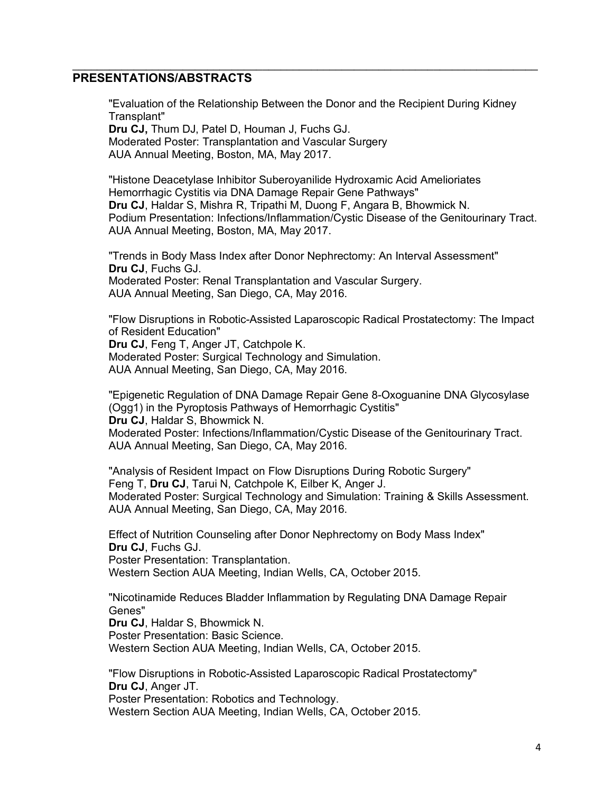## **PRESENTATIONS/ABSTRACTS**

"Evaluation of the Relationship Between the Donor and the Recipient During Kidney Transplant" **Dru CJ,** Thum DJ, Patel D, Houman J, Fuchs GJ.

 $\_$ 

Moderated Poster: Transplantation and Vascular Surgery AUA Annual Meeting, Boston, MA, May 2017.

"Histone Deacetylase Inhibitor Suberoyanilide Hydroxamic Acid Amelioriates Hemorrhagic Cystitis via DNA Damage Repair Gene Pathways" **Dru CJ**, Haldar S, Mishra R, Tripathi M, Duong F, Angara B, Bhowmick N. Podium Presentation: Infections/Inflammation/Cystic Disease of the Genitourinary Tract. AUA Annual Meeting, Boston, MA, May 2017.

"Trends in Body Mass Index after Donor Nephrectomy: An Interval Assessment" **Dru CJ**, Fuchs GJ. Moderated Poster: Renal Transplantation and Vascular Surgery. AUA Annual Meeting, San Diego, CA, May 2016.

"Flow Disruptions in Robotic-Assisted Laparoscopic Radical Prostatectomy: The Impact of Resident Education" **Dru CJ**, Feng T, Anger JT, Catchpole K. Moderated Poster: Surgical Technology and Simulation. AUA Annual Meeting, San Diego, CA, May 2016.

"Epigenetic Regulation of DNA Damage Repair Gene 8-Oxoguanine DNA Glycosylase (Ogg1) in the Pyroptosis Pathways of Hemorrhagic Cystitis" **Dru CJ**, Haldar S, Bhowmick N.

Moderated Poster: Infections/Inflammation/Cystic Disease of the Genitourinary Tract. AUA Annual Meeting, San Diego, CA, May 2016.

"Analysis of Resident Impact on Flow Disruptions During Robotic Surgery" Feng T, **Dru CJ**, Tarui N, Catchpole K, Eilber K, Anger J. Moderated Poster: Surgical Technology and Simulation: Training & Skills Assessment. AUA Annual Meeting, San Diego, CA, May 2016.

Effect of Nutrition Counseling after Donor Nephrectomy on Body Mass Index" **Dru CJ**, Fuchs GJ.

Poster Presentation: Transplantation.

Western Section AUA Meeting, Indian Wells, CA, October 2015.

"Nicotinamide Reduces Bladder Inflammation by Regulating DNA Damage Repair Genes"

**Dru CJ**, Haldar S, Bhowmick N.

Poster Presentation: Basic Science.

Western Section AUA Meeting, Indian Wells, CA, October 2015.

"Flow Disruptions in Robotic-Assisted Laparoscopic Radical Prostatectomy" **Dru CJ**, Anger JT.

Poster Presentation: Robotics and Technology.

Western Section AUA Meeting, Indian Wells, CA, October 2015.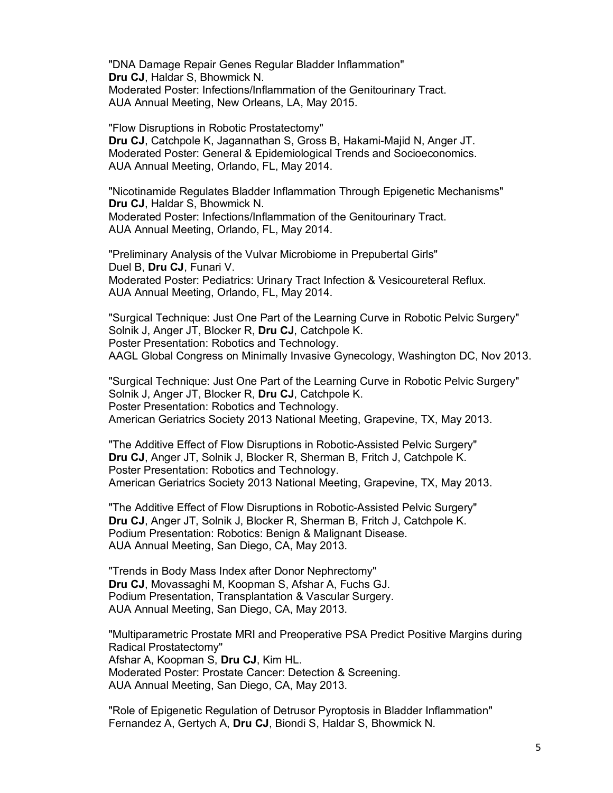"DNA Damage Repair Genes Regular Bladder Inflammation" **Dru CJ**, Haldar S, Bhowmick N. Moderated Poster: Infections/Inflammation of the Genitourinary Tract. AUA Annual Meeting, New Orleans, LA, May 2015.

"Flow Disruptions in Robotic Prostatectomy" **Dru CJ**, Catchpole K, Jagannathan S, Gross B, Hakami-Majid N, Anger JT. Moderated Poster: General & Epidemiological Trends and Socioeconomics. AUA Annual Meeting, Orlando, FL, May 2014.

"Nicotinamide Regulates Bladder Inflammation Through Epigenetic Mechanisms" **Dru CJ**, Haldar S, Bhowmick N. Moderated Poster: Infections/Inflammation of the Genitourinary Tract. AUA Annual Meeting, Orlando, FL, May 2014.

"Preliminary Analysis of the Vulvar Microbiome in Prepubertal Girls" Duel B, **Dru CJ**, Funari V. Moderated Poster: Pediatrics: Urinary Tract Infection & Vesicoureteral Reflux. AUA Annual Meeting, Orlando, FL, May 2014.

"Surgical Technique: Just One Part of the Learning Curve in Robotic Pelvic Surgery" Solnik J, Anger JT, Blocker R, **Dru CJ**, Catchpole K. Poster Presentation: Robotics and Technology. AAGL Global Congress on Minimally Invasive Gynecology, Washington DC, Nov 2013.

"Surgical Technique: Just One Part of the Learning Curve in Robotic Pelvic Surgery" Solnik J, Anger JT, Blocker R, **Dru CJ**, Catchpole K. Poster Presentation: Robotics and Technology. American Geriatrics Society 2013 National Meeting, Grapevine, TX, May 2013.

"The Additive Effect of Flow Disruptions in Robotic-Assisted Pelvic Surgery" **Dru CJ**, Anger JT, Solnik J, Blocker R, Sherman B, Fritch J, Catchpole K. Poster Presentation: Robotics and Technology. American Geriatrics Society 2013 National Meeting, Grapevine, TX, May 2013.

"The Additive Effect of Flow Disruptions in Robotic-Assisted Pelvic Surgery" **Dru CJ**, Anger JT, Solnik J, Blocker R, Sherman B, Fritch J, Catchpole K. Podium Presentation: Robotics: Benign & Malignant Disease. AUA Annual Meeting, San Diego, CA, May 2013.

"Trends in Body Mass Index after Donor Nephrectomy" **Dru CJ**, Movassaghi M, Koopman S, Afshar A, Fuchs GJ. Podium Presentation, Transplantation & Vascular Surgery. AUA Annual Meeting, San Diego, CA, May 2013.

"Multiparametric Prostate MRI and Preoperative PSA Predict Positive Margins during Radical Prostatectomy" Afshar A, Koopman S, **Dru CJ**, Kim HL. Moderated Poster: Prostate Cancer: Detection & Screening. AUA Annual Meeting, San Diego, CA, May 2013.

"Role of Epigenetic Regulation of Detrusor Pyroptosis in Bladder Inflammation" Fernandez A, Gertych A, **Dru CJ**, Biondi S, Haldar S, Bhowmick N.